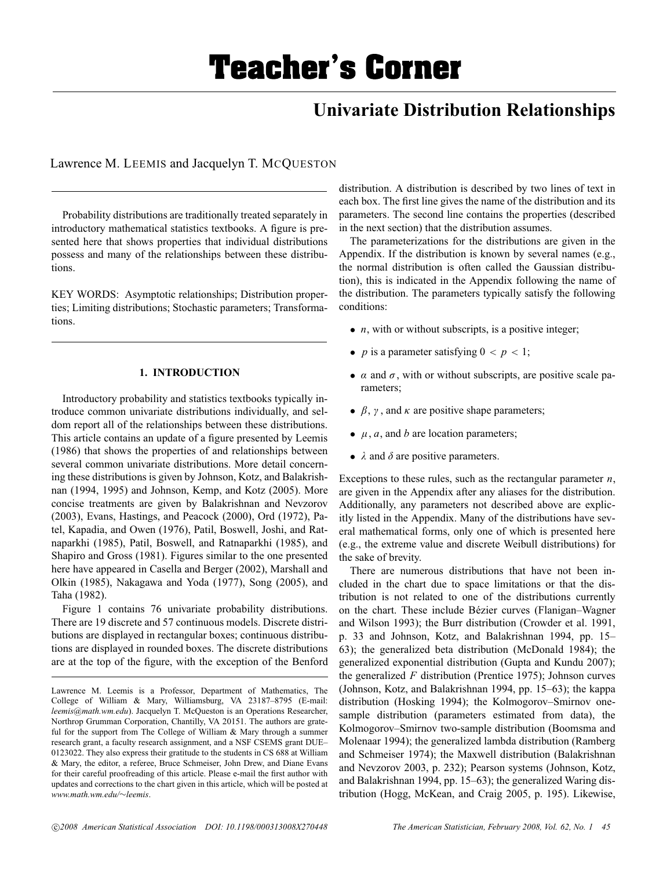# **Univariate Distribution Relationships**

Lawrence M. LEEMIS and Jacquelyn T. MCQUESTON

Probability distributions are traditionally treated separately in introductory mathematical statistics textbooks. A figure is presented here that shows properties that individual distributions possess and many of the relationships between these distributions.

KEY WORDS: Asymptotic relationships; Distribution properties; Limiting distributions; Stochastic parameters; Transformations.

## **1. INTRODUCTION**

Introductory probability and statistics textbooks typically introduce common univariate distributions individually, and seldom report all of the relationships between these distributions. This article contains an update of a figure presented by Leemis (1986) that shows the properties of and relationships between several common univariate distributions. More detail concerning these distributions is given by Johnson, Kotz, and Balakrishnan (1994, 1995) and Johnson, Kemp, and Kotz (2005). More concise treatments are given by Balakrishnan and Nevzorov (2003), Evans, Hastings, and Peacock (2000), Ord (1972), Patel, Kapadia, and Owen (1976), Patil, Boswell, Joshi, and Ratnaparkhi (1985), Patil, Boswell, and Ratnaparkhi (1985), and Shapiro and Gross (1981). Figures similar to the one presented here have appeared in Casella and Berger (2002), Marshall and Olkin (1985), Nakagawa and Yoda (1977), Song (2005), and Taha (1982).

Figure 1 contains 76 univariate probability distributions. There are 19 discrete and 57 continuous models. Discrete distributions are displayed in rectangular boxes; continuous distributions are displayed in rounded boxes. The discrete distributions are at the top of the figure, with the exception of the Benford

distribution. A distribution is described by two lines of text in each box. The first line gives the name of the distribution and its parameters. The second line contains the properties (described in the next section) that the distribution assumes.

The parameterizations for the distributions are given in the Appendix. If the distribution is known by several names (e.g., the normal distribution is often called the Gaussian distribution), this is indicated in the Appendix following the name of the distribution. The parameters typically satisfy the following conditions:

- *n*, with or without subscripts, is a positive integer;
- *p* is a parameter satisfying  $0 < p < 1$ ;
- $\alpha$  and  $\sigma$ , with or without subscripts, are positive scale parameters;
- $\beta$ ,  $\gamma$ , and  $\kappa$  are positive shape parameters;
- $\bullet$   $\mu$ ,  $\alpha$ , and  $\beta$  are location parameters;
- $\lambda$  and  $\delta$  are positive parameters.

Exceptions to these rules, such as the rectangular parameter *n*, are given in the Appendix after any aliases for the distribution. Additionally, any parameters not described above are explicitly listed in the Appendix. Many of the distributions have several mathematical forms, only one of which is presented here (e.g., the extreme value and discrete Weibull distributions) for the sake of brevity.

There are numerous distributions that have not been included in the chart due to space limitations or that the distribution is not related to one of the distributions currently on the chart. These include Bézier curves (Flanigan–Wagner and Wilson 1993); the Burr distribution (Crowder et al. 1991, p. 33 and Johnson, Kotz, and Balakrishnan 1994, pp. 15– 63); the generalized beta distribution (McDonald 1984); the generalized exponential distribution (Gupta and Kundu 2007); the generalized *F* distribution (Prentice 1975); Johnson curves (Johnson, Kotz, and Balakrishnan 1994, pp. 15–63); the kappa distribution (Hosking 1994); the Kolmogorov–Smirnov onesample distribution (parameters estimated from data), the Kolmogorov–Smirnov two-sample distribution (Boomsma and Molenaar 1994); the generalized lambda distribution (Ramberg and Schmeiser 1974); the Maxwell distribution (Balakrishnan and Nevzorov 2003, p. 232); Pearson systems (Johnson, Kotz, and Balakrishnan 1994, pp. 15–63); the generalized Waring distribution (Hogg, McKean, and Craig 2005, p. 195). Likewise,

Lawrence M. Leemis is a Professor, Department of Mathematics, The College of William & Mary, Williamsburg, VA 23187–8795 (E-mail: *leemis@math.wm.edu*). Jacquelyn T. McQueston is an Operations Researcher, Northrop Grumman Corporation, Chantilly, VA 20151. The authors are grateful for the support from The College of William & Mary through a summer research grant, a faculty research assignment, and a NSF CSEMS grant DUE– 0123022. They also express their gratitude to the students in CS 688 at William & Mary, the editor, a referee, Bruce Schmeiser, John Drew, and Diane Evans for their careful proofreading of this article. Please e-mail the first author with updates and corrections to the chart given in this article, which will be posted at *www.math.wm.edu/*∼*leemis*.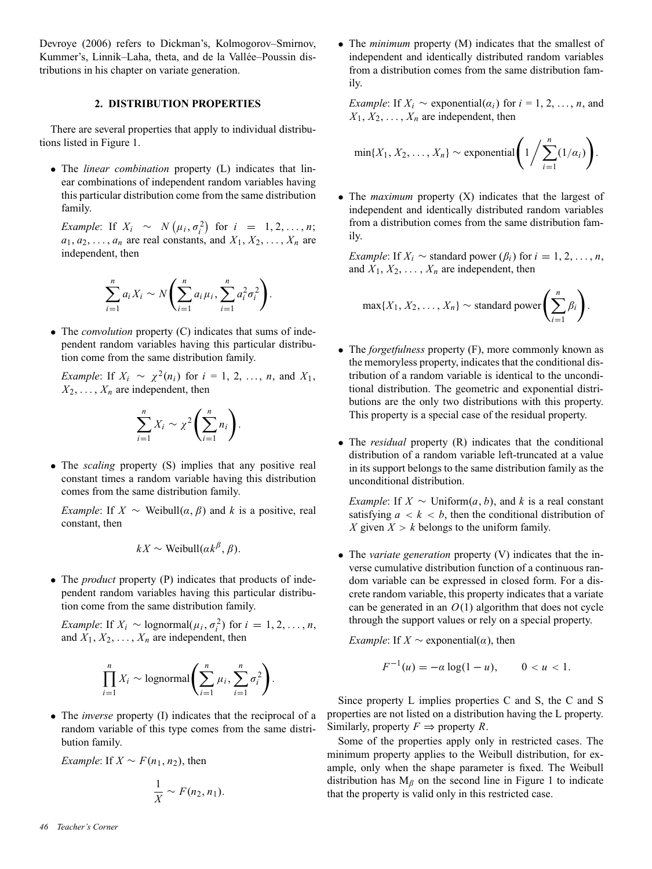Devroye (2006) refers to Dickman's, Kolmogorov–Smirnov, Kummer's, Linnik–Laha, theta, and de la Vallée–Poussin distributions in his chapter on variate generation.

## **2. DISTRIBUTION PROPERTIES**

There are several properties that apply to individual distributions listed in Figure 1.

• The *linear combination* property (L) indicates that linear combinations of independent random variables having this particular distribution come from the same distribution family.

*Example*: If  $X_i \sim N(\mu_i, \sigma_i^2)$  for  $i = 1, 2, ..., n$ ;  $a_1, a_2, \ldots, a_n$  are real constants, and  $X_1, X_2, \ldots, X_n$  are independent, then

$$
\sum_{i=1}^{n} a_i X_i \sim N \left( \sum_{i=1}^{n} a_i \mu_i, \sum_{i=1}^{n} a_i^2 \sigma_i^2 \right)
$$

.

• The *convolution* property (C) indicates that sums of independent random variables having this particular distribution come from the same distribution family.

*Example*: If  $X_i \sim \chi^2(n_i)$  for  $i = 1, 2, ..., n$ , and  $X_1$ ,  $X_2, \ldots, X_n$  are independent, then

$$
\sum_{i=1}^n X_i \sim \chi^2 \left( \sum_{i=1}^n n_i \right).
$$

• The *scaling* property (S) implies that any positive real constant times a random variable having this distribution comes from the same distribution family.

*Example*: If  $X \sim$  Weibull $(\alpha, \beta)$  and k is a positive, real constant, then

$$
kX \sim \text{Weibull}(ak^{\beta}, \beta).
$$

• The *product* property (P) indicates that products of independent random variables having this particular distribution come from the same distribution family.

*Example*: If  $X_i \sim \text{lognormal}(\mu_i, \sigma_i^2)$  for  $i = 1, 2, ..., n$ , and  $X_1, X_2, \ldots, X_n$  are independent, then

$$
\prod_{i=1}^n X_i \sim \text{lognormal}\left(\sum_{i=1}^n \mu_i, \sum_{i=1}^n \sigma_i^2\right).
$$

• The *inverse* property (I) indicates that the reciprocal of a random variable of this type comes from the same distribution family.

*Example*: If  $X \sim F(n_1, n_2)$ , then

$$
\frac{1}{X} \sim F(n_2, n_1).
$$

• The *minimum* property (M) indicates that the smallest of independent and identically distributed random variables from a distribution comes from the same distribution family.

*Example*: If  $X_i \sim$  exponential( $\alpha_i$ ) for  $i = 1, 2, ..., n$ , and  $X_1, X_2, \ldots, X_n$  are independent, then

$$
\min\{X_1, X_2, \ldots, X_n\} \sim \text{exponential}\left(1/\sum_{i=1}^n (1/\alpha_i)\right).
$$

• The *maximum* property (X) indicates that the largest of independent and identically distributed random variables from a distribution comes from the same distribution family.

*Example*: If  $X_i \sim$  standard power  $(\beta_i)$  for  $i = 1, 2, \ldots, n$ , and  $X_1, X_2, \ldots, X_n$  are independent, then

$$
\max\{X_1, X_2, \ldots, X_n\} \sim \text{standard power}\left(\sum_{i=1}^n \beta_i\right).
$$

- The *forgetfulness* property (F), more commonly known as the memoryless property, indicates that the conditional distribution of a random variable is identical to the unconditional distribution. The geometric and exponential distributions are the only two distributions with this property. This property is a special case of the residual property.
- The *residual* property (R) indicates that the conditional distribution of a random variable left-truncated at a value in its support belongs to the same distribution family as the unconditional distribution.

*Example*: If  $X \sim$  Uniform $(a, b)$ , and  $k$  is a real constant satisfying  $a < k < b$ , then the conditional distribution of *X* given  $X > k$  belongs to the uniform family.

• The *variate generation* property (V) indicates that the inverse cumulative distribution function of a continuous random variable can be expressed in closed form. For a discrete random variable, this property indicates that a variate can be generated in an  $O(1)$  algorithm that does not cycle through the support values or rely on a special property.

*Example*: If  $X \sim$  exponential( $\alpha$ ), then

$$
F^{-1}(u) = -\alpha \log(1 - u), \qquad 0 < u < 1.
$$

Since property L implies properties C and S, the C and S properties are not listed on a distribution having the L property. Similarly, property  $F \Rightarrow$  property R.

Some of the properties apply only in restricted cases. The minimum property applies to the Weibull distribution, for example, only when the shape parameter is fixed. The Weibull distribution has  $M_\beta$  on the second line in Figure 1 to indicate that the property is valid only in this restricted case.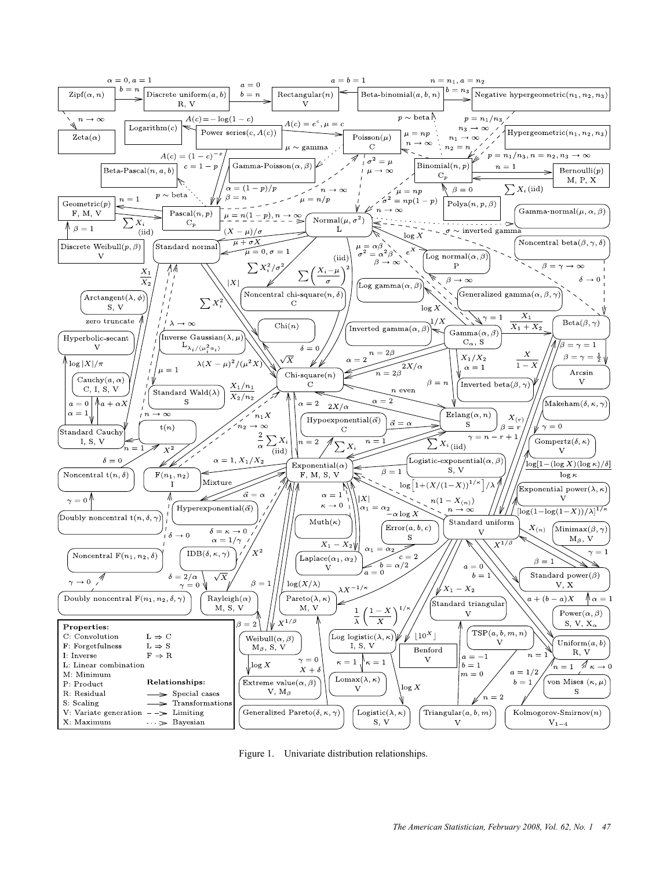

Figure 1. Univariate distribution relationships.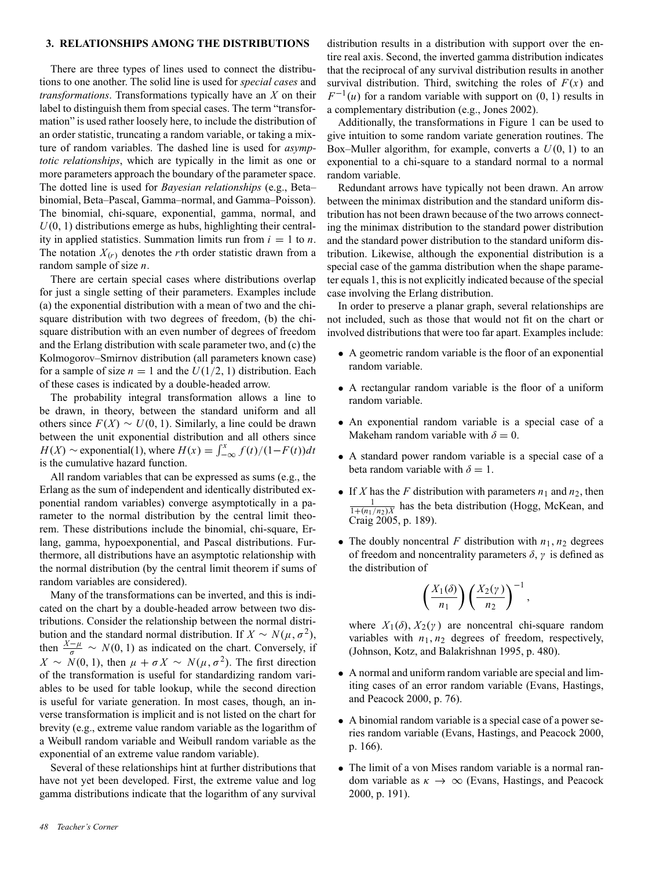### **3. RELATIONSHIPS AMONG THE DISTRIBUTIONS**

There are three types of lines used to connect the distributions to one another. The solid line is used for *special cases* and *transformations*. Transformations typically have an *X* on their label to distinguish them from special cases. The term "transformation" is used rather loosely here, to include the distribution of an order statistic, truncating a random variable, or taking a mixture of random variables. The dashed line is used for *asymptotic relationships*, which are typically in the limit as one or more parameters approach the boundary of the parameter space. The dotted line is used for *Bayesian relationships* (e.g., Beta– binomial, Beta–Pascal, Gamma–normal, and Gamma–Poisson). The binomial, chi-square, exponential, gamma, normal, and  $U(0, 1)$  distributions emerge as hubs, highlighting their centrality in applied statistics. Summation limits run from  $i = 1$  to *n*. The notation  $X(r)$  denotes the *r*th order statistic drawn from a random sample of size *n*.

There are certain special cases where distributions overlap for just a single setting of their parameters. Examples include (a) the exponential distribution with a mean of two and the chisquare distribution with two degrees of freedom, (b) the chisquare distribution with an even number of degrees of freedom and the Erlang distribution with scale parameter two, and (c) the Kolmogorov–Smirnov distribution (all parameters known case) for a sample of size  $n = 1$  and the  $U(1/2, 1)$  distribution. Each of these cases is indicated by a double-headed arrow.

The probability integral transformation allows a line to be drawn, in theory, between the standard uniform and all others since  $F(X) \sim U(0, 1)$ . Similarly, a line could be drawn between the unit exponential distribution and all others since  $H(X) \sim \text{exponential}(1)$ , where  $H(x) = \int_{-\infty}^{x} f(t)/(1 - F(t))dt$ is the cumulative hazard function.

All random variables that can be expressed as sums (e.g., the Erlang as the sum of independent and identically distributed exponential random variables) converge asymptotically in a parameter to the normal distribution by the central limit theorem. These distributions include the binomial, chi-square, Erlang, gamma, hypoexponential, and Pascal distributions. Furthermore, all distributions have an asymptotic relationship with the normal distribution (by the central limit theorem if sums of random variables are considered).

Many of the transformations can be inverted, and this is indicated on the chart by a double-headed arrow between two distributions. Consider the relationship between the normal distribution and the standard normal distribution. If  $X \sim N(\mu, \sigma^2)$ , then  $\frac{X-\mu}{\sigma} \sim N(0, 1)$  as indicated on the chart. Conversely, if  $X \sim N(0, 1)$ , then  $\mu + \sigma X \sim N(\mu, \sigma^2)$ . The first direction of the transformation is useful for standardizing random variables to be used for table lookup, while the second direction is useful for variate generation. In most cases, though, an inverse transformation is implicit and is not listed on the chart for brevity (e.g., extreme value random variable as the logarithm of a Weibull random variable and Weibull random variable as the exponential of an extreme value random variable).

Several of these relationships hint at further distributions that have not yet been developed. First, the extreme value and log gamma distributions indicate that the logarithm of any survival

distribution results in a distribution with support over the entire real axis. Second, the inverted gamma distribution indicates that the reciprocal of any survival distribution results in another survival distribution. Third, switching the roles of  $F(x)$  and  $F^{-1}(u)$  for a random variable with support on  $(0, 1)$  results in a complementary distribution (e.g., Jones 2002).

Additionally, the transformations in Figure 1 can be used to give intuition to some random variate generation routines. The Box–Muller algorithm, for example, converts a *U*(0, 1) to an exponential to a chi-square to a standard normal to a normal random variable.

Redundant arrows have typically not been drawn. An arrow between the minimax distribution and the standard uniform distribution has not been drawn because of the two arrows connecting the minimax distribution to the standard power distribution and the standard power distribution to the standard uniform distribution. Likewise, although the exponential distribution is a special case of the gamma distribution when the shape parameter equals 1, this is not explicitly indicated because of the special case involving the Erlang distribution.

In order to preserve a planar graph, several relationships are not included, such as those that would not fit on the chart or involved distributions that were too far apart. Examples include:

- A geometric random variable is the floor of an exponential random variable.
- A rectangular random variable is the floor of a uniform random variable.
- An exponential random variable is a special case of a Makeham random variable with  $\delta = 0$ .
- A standard power random variable is a special case of a beta random variable with  $\delta = 1$ .
- If *X* has the *F* distribution with parameters  $n_1$  and  $n_2$ , then  $\frac{1}{1 + (n_1/n_2)X}$  has the beta distribution (Hogg, McKean, and Craig 2005, p. 189).
- The doubly noncentral *F* distribution with  $n_1$ ,  $n_2$  degrees of freedom and noncentrality parameters  $\delta$ ,  $\gamma$  is defined as the distribution of

$$
\left(\frac{X_1(\delta)}{n_1}\right)\left(\frac{X_2(\gamma)}{n_2}\right)^{-1},\,
$$

where  $X_1(\delta)$ ,  $X_2(\gamma)$  are noncentral chi-square random variables with  $n_1$ ,  $n_2$  degrees of freedom, respectively, (Johnson, Kotz, and Balakrishnan 1995, p. 480).

- A normal and uniform random variable are special and limiting cases of an error random variable (Evans, Hastings, and Peacock 2000, p. 76).
- A binomial random variable is a special case of a power series random variable (Evans, Hastings, and Peacock 2000, p. 166).
- The limit of a von Mises random variable is a normal random variable as  $\kappa \to \infty$  (Evans, Hastings, and Peacock 2000, p. 191).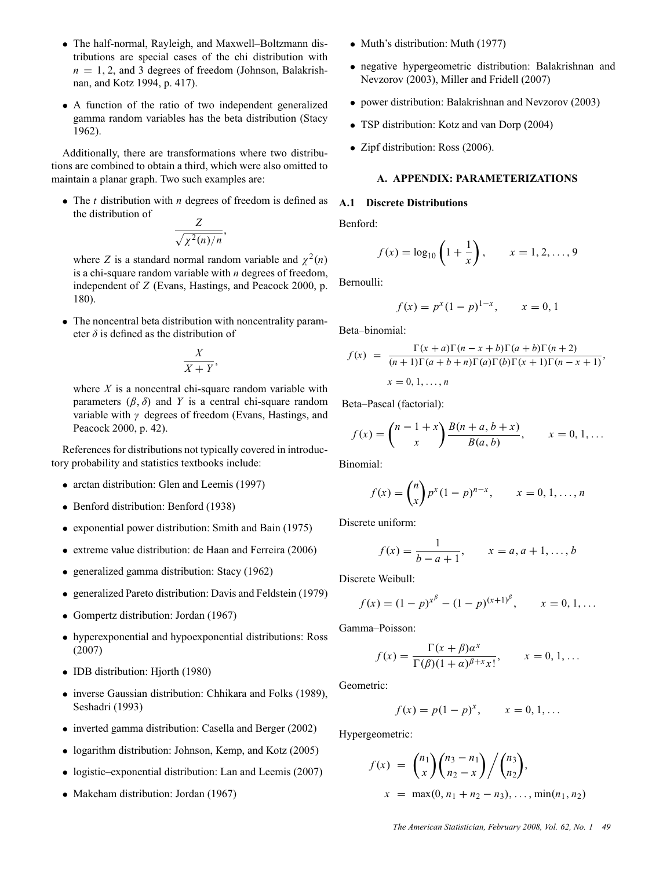- The half-normal, Rayleigh, and Maxwell–Boltzmann distributions are special cases of the chi distribution with  $n = 1, 2$ , and 3 degrees of freedom (Johnson, Balakrishnan, and Kotz 1994, p. 417).
- A function of the ratio of two independent generalized gamma random variables has the beta distribution (Stacy 1962).

Additionally, there are transformations where two distributions are combined to obtain a third, which were also omitted to maintain a planar graph. Two such examples are:

• The *t* distribution with *n* degrees of freedom is defined as the distribution of

$$
\frac{Z}{\sqrt{\chi^2(n)/n}}
$$

,

where *Z* is a standard normal random variable and  $\chi^2(n)$ is a chi-square random variable with *n* degrees of freedom, independent of *Z* (Evans, Hastings, and Peacock 2000, p. 180).

• The noncentral beta distribution with noncentrality parameter  $\delta$  is defined as the distribution of

$$
\frac{X}{X+Y},
$$

where *X* is a noncentral chi-square random variable with parameters  $(\beta, \delta)$  and *Y* is a central chi-square random variable with  $\gamma$  degrees of freedom (Evans, Hastings, and Peacock 2000, p. 42).

References for distributions not typically covered in introductory probability and statistics textbooks include:

- arctan distribution: Glen and Leemis (1997)
- Benford distribution: Benford (1938)
- exponential power distribution: Smith and Bain (1975)
- extreme value distribution: de Haan and Ferreira (2006)
- generalized gamma distribution: Stacy (1962)
- generalized Pareto distribution: Davis and Feldstein (1979)
- Gompertz distribution: Jordan (1967)
- hyperexponential and hypoexponential distributions: Ross (2007)
- IDB distribution: Hjorth (1980)
- inverse Gaussian distribution: Chhikara and Folks (1989), Seshadri (1993)
- inverted gamma distribution: Casella and Berger (2002)
- logarithm distribution: Johnson, Kemp, and Kotz (2005)
- logistic–exponential distribution: Lan and Leemis (2007)
- Makeham distribution: Jordan (1967)
- Muth's distribution: Muth (1977)
- negative hypergeometric distribution: Balakrishnan and Nevzorov (2003), Miller and Fridell (2007)
- power distribution: Balakrishnan and Nevzorov (2003)
- TSP distribution: Kotz and van Dorp (2004)
- Zipf distribution: Ross (2006).

## **A. APPENDIX: PARAMETERIZATIONS**

### **A.1 Discrete Distributions**

Benford:

$$
f(x) = \log_{10} \left( 1 + \frac{1}{x} \right), \qquad x = 1, 2, ..., 9
$$

Bernoulli:

$$
f(x) = p^{x} (1 - p)^{1 - x}, \qquad x = 0, 1
$$

Beta–binomial:

$$
f(x) = \frac{\Gamma(x+a)\Gamma(n-x+b)\Gamma(a+b)\Gamma(n+2)}{(n+1)\Gamma(a+b+n)\Gamma(a)\Gamma(b)\Gamma(x+1)\Gamma(n-x+1)},
$$
  

$$
x = 0, 1, ..., n
$$

Beta–Pascal (factorial):

$$
f(x) = {n-1+x \choose x} \frac{B(n+a, b+x)}{B(a, b)}, \qquad x = 0, 1, ...
$$

Binomial:

$$
f(x) = {n \choose x} p^{x} (1-p)^{n-x}, \qquad x = 0, 1, ..., n
$$

Discrete uniform:

$$
f(x) = \frac{1}{b - a + 1}, \qquad x = a, a + 1, \dots, b
$$

Discrete Weibull:

$$
f(x) = (1 - p)^{x^{\beta}} - (1 - p)^{(x+1)^{\beta}}, \qquad x = 0, 1, ...
$$

Gamma–Poisson:

$$
f(x) = \frac{\Gamma(x + \beta)a^x}{\Gamma(\beta)(1 + a)^{\beta + x}x!}, \qquad x = 0, 1, ...
$$

Geometric:

$$
f(x) = p(1 - p)^x, \qquad x = 0, 1, ...
$$

Hypergeometric:

$$
f(x) = {n_1 \choose x} {n_3 - n_1 \choose n_2 - x} / {n_3 \choose n_2},
$$
  

$$
x = \max(0, n_1 + n_2 - n_3), ..., \min(n_1, n_2)
$$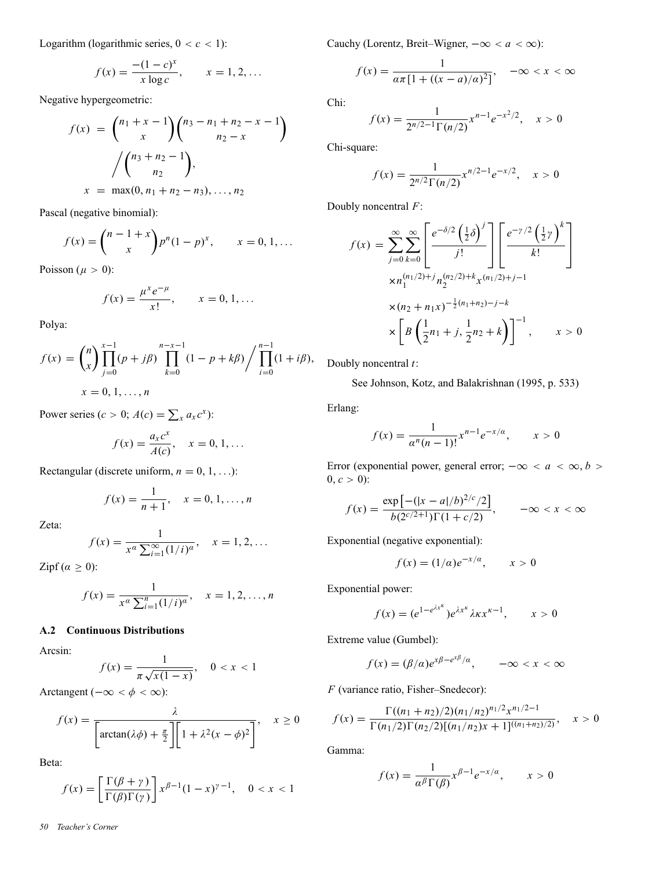Logarithm (logarithmic series,  $0 < c < 1$ ):

$$
f(x) = \frac{-(1-c)^x}{x \log c}, \qquad x = 1, 2, ...
$$

Negative hypergeometric:

$$
f(x) = {n_1 + x - 1 \choose x} {n_3 - n_1 + n_2 - x - 1 \choose n_2 - x}
$$

$$
/ {n_3 + n_2 - 1 \choose n_2},
$$

$$
x = \max(0, n_1 + n_2 - n_3), ..., n_2
$$

Pascal (negative binomial):

$$
f(x) = {n-1+x \choose x} p^{n} (1-p)^{x}, \qquad x = 0, 1, ...
$$

Poisson ( $\mu > 0$ ):

$$
f(x) = \frac{\mu^x e^{-\mu}}{x!}, \qquad x = 0, 1, ...
$$

Polya:

$$
f(x) = {n \choose x} \prod_{j=0}^{x-1} (p+j\beta) \prod_{k=0}^{n-x-1} (1-p+k\beta) / \prod_{i=0}^{n-1} (1+i\beta),
$$
  
 
$$
x = 0, 1, ..., n
$$

Power series ( $c > 0$ ;  $A(c) = \sum_{x} a_x c^x$ ):

$$
f(x) = \frac{a_x c^x}{A(c)}, \quad x = 0, 1, ...
$$

Rectangular (discrete uniform,  $n = 0, 1, ...$ ):

$$
f(x) = \frac{1}{n+1}, \quad x = 0, 1, \dots, n
$$

Zeta:

$$
f(x) = \frac{1}{x^{\alpha} \sum_{i=1}^{\infty} (1/i)^{\alpha}}, \quad x = 1, 2, ...
$$

Zipf  $(\alpha \geq 0)$ :

$$
f(x) = \frac{1}{x^{\alpha} \sum_{i=1}^{n} (1/i)^{\alpha}}, \quad x = 1, 2, ..., n
$$

## **A.2 Continuous Distributions**

Arcsin:

$$
f(x) = \frac{1}{\pi \sqrt{x(1-x)}}, \quad 0 < x < 1
$$

Arctangent ( $-\infty < \phi < \infty$ ):

$$
f(x) = \frac{\lambda}{\left[\arctan(\lambda\phi) + \frac{\pi}{2}\right] \left[1 + \lambda^2(x - \phi)^2\right]}, \quad x \ge 0
$$

Beta:

$$
f(x) = \left[\frac{\Gamma(\beta + \gamma)}{\Gamma(\beta)\Gamma(\gamma)}\right] x^{\beta - 1} (1 - x)^{\gamma - 1}, \quad 0 < x < 1
$$

Cauchy (Lorentz, Breit–Wigner,  $-\infty < a < \infty$ ):

$$
f(x) = \frac{1}{a\pi [1 + ((x - a)/a)^2]}, \quad -\infty < x < \infty
$$

Chi:

$$
f(x) = \frac{1}{2^{n/2-1}\Gamma(n/2)} x^{n-1} e^{-x^2/2}, \quad x > 0
$$

Chi-square:

$$
f(x) = \frac{1}{2^{n/2} \Gamma(n/2)} x^{n/2 - 1} e^{-x/2}, \quad x > 0
$$

Doubly noncentral *F*:

$$
f(x) = \sum_{j=0}^{\infty} \sum_{k=0}^{\infty} \left[ \frac{e^{-\delta/2} \left(\frac{1}{2}\delta\right)^j}{j!} \right] \left[ \frac{e^{-\gamma/2} \left(\frac{1}{2}\gamma\right)^k}{k!} \right]
$$

$$
\times n_1^{(n_1/2)+j} n_2^{(n_2/2)+k} x^{(n_1/2)+j-1}
$$

$$
\times (n_2 + n_1 x)^{-\frac{1}{2}(n_1 + n_2) - j - k}
$$

$$
\times \left[ B \left( \frac{1}{2} n_1 + j, \frac{1}{2} n_2 + k \right) \right]^{-1}, \qquad x > 0
$$

Doubly noncentral *t*:

See Johnson, Kotz, and Balakrishnan (1995, p. 533)

Erlang:

$$
f(x) = \frac{1}{a^n (n-1)!} x^{n-1} e^{-x/a}, \qquad x > 0
$$

Error (exponential power, general error;  $-\infty < a < \infty, b >$  $0, c > 0$ :

$$
f(x) = \frac{\exp[-(|x - a|/b)^{2/c}/2]}{b(2^{c/2+1})\Gamma(1 + c/2)}, \qquad -\infty < x < \infty
$$

Exponential (negative exponential):

$$
f(x) = (1/a)e^{-x/a}, \qquad x > 0
$$

Exponential power:

$$
f(x) = (e^{1-e^{\lambda x^{\kappa}}})e^{\lambda x^{\kappa}}\lambda \kappa x^{\kappa-1}, \qquad x > 0
$$

Extreme value (Gumbel):

$$
f(x) = (\beta/\alpha)e^{x\beta - e^{x\beta}/\alpha}, \qquad -\infty < x < \infty
$$

*F* (variance ratio, Fisher–Snedecor):

$$
f(x) = \frac{\Gamma((n_1 + n_2)/2)(n_1/n_2)^{n_1/2} x^{n_1/2 - 1}}{\Gamma(n_1/2)\Gamma(n_2/2)[(n_1/n_2)x + 1]^{((n_1+n_2)/2)}}, \quad x > 0
$$

Gamma:

$$
f(x) = \frac{1}{\alpha^{\beta} \Gamma(\beta)} x^{\beta - 1} e^{-x/\alpha}, \qquad x > 0
$$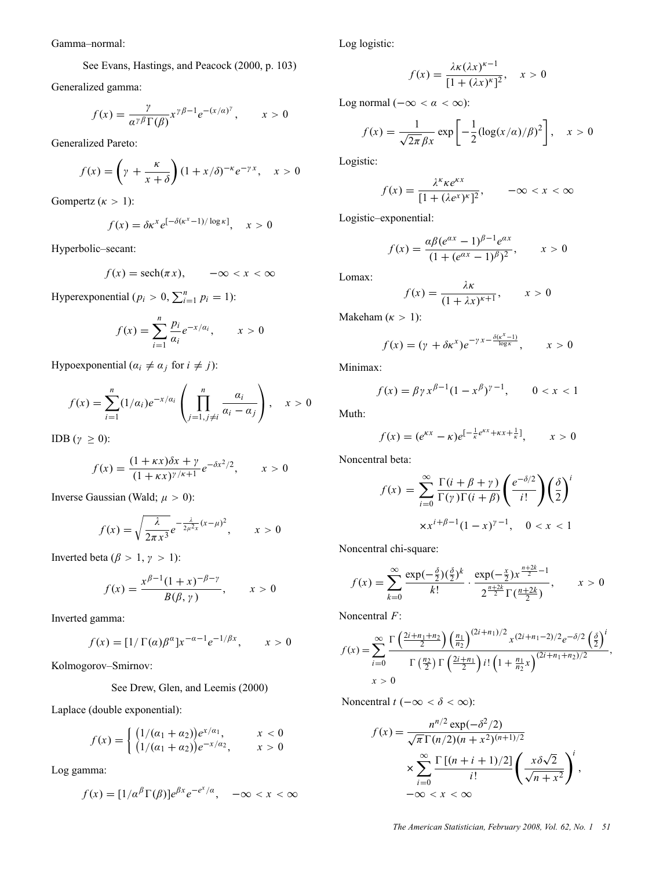Gamma–normal:

See Evans, Hastings, and Peacock (2000, p. 103)

Generalized gamma:

$$
f(x) = \frac{\gamma}{\alpha^{\gamma \beta} \Gamma(\beta)} x^{\gamma \beta - 1} e^{-(x/\alpha)^{\gamma}}, \qquad x > 0
$$

Generalized Pareto:

$$
f(x) = \left(\gamma + \frac{\kappa}{x + \delta}\right) \left(1 + \frac{x}{\delta}\right)^{-\kappa} e^{-\gamma x}, \quad x > 0
$$

Gompertz ( $\kappa > 1$ ):

$$
f(x) = \delta \kappa^{x} e^{[-\delta(\kappa^{x}-1)/\log \kappa]}, \quad x > 0
$$

Hyperbolic–secant:

$$
f(x) = \operatorname{sech}(\pi x), \qquad -\infty < x < \infty
$$

Hyperexponential ( $p_i > 0$ ,  $\sum_{i=1}^n p_i = 1$ ):

$$
f(x) = \sum_{i=1}^{n} \frac{p_i}{\alpha_i} e^{-x/\alpha_i}, \qquad x > 0
$$

Hypoexponential ( $\alpha_i \neq \alpha_j$  for  $i \neq j$ ):

$$
f(x) = \sum_{i=1}^{n} (1/\alpha_i) e^{-x/\alpha_i} \left( \prod_{j=1, j \neq i}^{n} \frac{\alpha_i}{\alpha_i - \alpha_j} \right), \quad x > 0
$$

IDB ( $\gamma \geq 0$ ):

$$
f(x) = \frac{(1+\kappa x)\delta x + \gamma}{(1+\kappa x)^{\gamma/\kappa+1}} e^{-\delta x^2/2}, \qquad x > 0
$$

Inverse Gaussian (Wald;  $\mu > 0$ ):

$$
f(x) = \sqrt{\frac{\lambda}{2\pi x^3}} e^{-\frac{\lambda}{2\mu^2 x}(x-\mu)^2}, \qquad x > 0
$$

Inverted beta ( $\beta > 1$ ,  $\gamma > 1$ ):

$$
f(x) = \frac{x^{\beta - 1}(1 + x)^{-\beta - \gamma}}{B(\beta, \gamma)}, \qquad x > 0
$$

Inverted gamma:

$$
f(x) = [1/\Gamma(\alpha)\beta^{\alpha}]x^{-\alpha-1}e^{-1/\beta x}, \qquad x > 0
$$

Kolmogorov–Smirnov:

See Drew, Glen, and Leemis (2000)

Laplace (double exponential):

$$
f(x) = \begin{cases} (1/(a_1 + a_2))e^{x/a_1}, & x < 0\\ (1/(a_1 + a_2))e^{-x/a_2}, & x > 0 \end{cases}
$$

Log gamma:

$$
f(x) = [1/\alpha^{\beta} \Gamma(\beta)] e^{\beta x} e^{-e^{x}/a}, \quad -\infty < x < \infty
$$

Log logistic:

$$
f(x) = \frac{\lambda \kappa (\lambda x)^{\kappa - 1}}{[1 + (\lambda x)^{\kappa}]^2}, \quad x > 0
$$

Log normal  $(-\infty < \alpha < \infty)$ :

$$
f(x) = \frac{1}{\sqrt{2\pi} \beta x} \exp\left[-\frac{1}{2} (\log(x/\alpha)/\beta)^2\right], \quad x > 0
$$

Logistic:

$$
f(x) = \frac{\lambda^k \kappa e^{\kappa x}}{[1 + (\lambda e^x)^{\kappa}]^2}, \qquad -\infty < x < \infty
$$

Logistic–exponential:

$$
f(x) = \frac{\alpha \beta (e^{\alpha x} - 1)^{\beta - 1} e^{\alpha x}}{(1 + (e^{\alpha x} - 1)^{\beta})^2}, \qquad x > 0
$$

Lomax:

$$
f(x) = \frac{\lambda \kappa}{(1 + \lambda x)^{\kappa + 1}}, \qquad x > 0
$$

Makeham  $(\kappa > 1)$ :

$$
f(x) = (\gamma + \delta \kappa^{x}) e^{-\gamma x - \frac{\delta(\kappa^{x} - 1)}{\log \kappa}}, \qquad x > 0
$$

Minimax:

$$
f(x) = \beta \gamma x^{\beta - 1} (1 - x^{\beta})^{\gamma - 1}, \qquad 0 < x < 1
$$

Muth:

$$
f(x) = (e^{\kappa x} - \kappa)e^{[-\frac{1}{\kappa}e^{\kappa x} + \kappa x + \frac{1}{\kappa}]}, \qquad x > 0
$$

Noncentral beta:

$$
f(x) = \sum_{i=0}^{\infty} \frac{\Gamma(i + \beta + \gamma)}{\Gamma(\gamma)\Gamma(i + \beta)} \left(\frac{e^{-\delta/2}}{i!}\right) \left(\frac{\delta}{2}\right)^i
$$

$$
\times x^{i+\beta-1} (1-x)^{\gamma-1}, \quad 0 < x < 1
$$

Noncentral chi-square:

$$
f(x) = \sum_{k=0}^{\infty} \frac{\exp(-\frac{\delta}{2})(\frac{\delta}{2})^k}{k!} \cdot \frac{\exp(-\frac{x}{2})x^{\frac{n+2k}{2}-1}}{2^{\frac{n+2k}{2}}\Gamma(\frac{n+2k}{2})}, \qquad x > 0
$$

Noncentral *F*:

$$
f(x) = \sum_{i=0}^{\infty} \frac{\Gamma\left(\frac{2i+n_1+n_2}{2}\right) \left(\frac{n_1}{n_2}\right)^{(2i+n_1)/2} x^{(2i+n_1-2)/2} e^{-\delta/2} \left(\frac{\delta}{2}\right)^i}{\Gamma\left(\frac{n_2}{2}\right) \Gamma\left(\frac{2i+n_1}{2}\right) i! \left(1 + \frac{n_1}{n_2} x\right)^{(2i+n_1+n_2)/2}},
$$
  

$$
x > 0
$$

Noncentral *t* ( $-\infty < \delta < \infty$ ):

$$
f(x) = \frac{n^{n/2} \exp(-\delta^2/2)}{\sqrt{\pi} \Gamma(n/2)(n+x^2)^{(n+1)/2}}
$$

$$
\times \sum_{i=0}^{\infty} \frac{\Gamma[(n+i+1)/2]}{i!} \left(\frac{x\delta\sqrt{2}}{\sqrt{n+x^2}}\right)^i,
$$

$$
-\infty < x < \infty
$$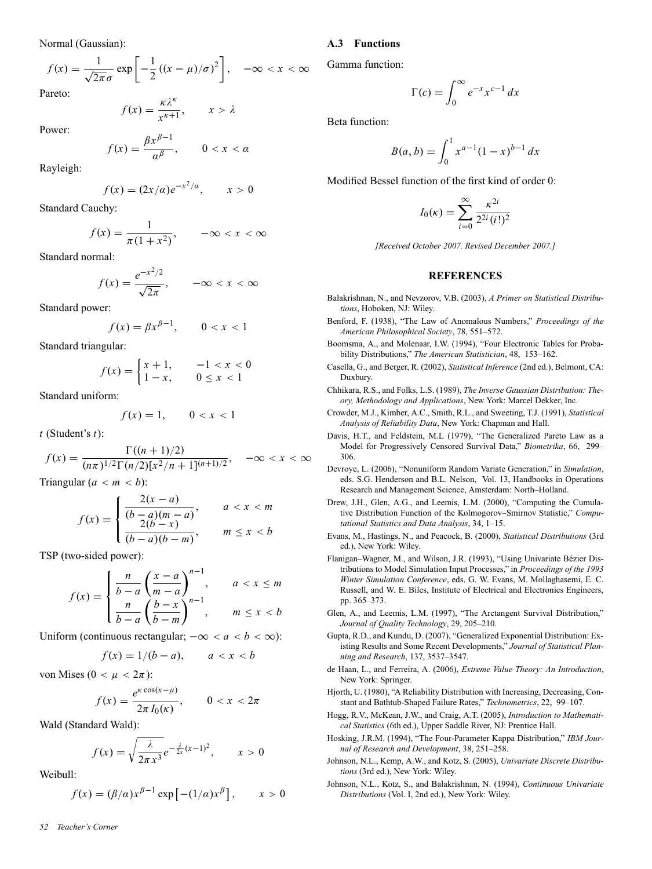Normal (Gaussian):

$$
f(x) = \frac{1}{\sqrt{2\pi}\sigma} \exp\left[-\frac{1}{2}\left((x-\mu)/\sigma\right)^2\right], \quad -\infty < x < \infty
$$

Pareto:

$$
f(x) = \frac{\kappa \lambda^{\kappa}}{x^{\kappa + 1}}, \qquad x > \lambda
$$

Power:

$$
f(x) = \frac{\beta x^{\beta - 1}}{\alpha^{\beta}}, \qquad 0 < x < \alpha
$$

Rayleigh:

$$
f(x) = (2x/a)e^{-x^2/a}, \qquad x > 0
$$

Standard Cauchy:

$$
f(x) = \frac{1}{\pi(1+x^2)}, \qquad -\infty < x < \infty
$$

Standard normal:

$$
f(x) = \frac{e^{-x^2/2}}{\sqrt{2\pi}}, \qquad -\infty < x < \infty
$$

Standard power:

$$
f(x) = \beta x^{\beta - 1}, \qquad 0 < x < 1
$$

Standard triangular:

$$
f(x) = \begin{cases} x+1, & -1 < x < 0 \\ 1-x, & 0 \le x < 1 \end{cases}
$$

Standard uniform:

$$
f(x) = 1, \qquad 0 < x < 1
$$

*t* (Student's *t*):

$$
f(x) = \frac{\Gamma((n+1)/2)}{(n\pi)^{1/2}\Gamma(n/2)[x^2/n+1]^{(n+1)/2}}, \quad -\infty < x < \infty
$$

Triangular  $(a < m < b)$ :

$$
f(x) = \begin{cases} \frac{2(x-a)}{(b-a)(m-a)}, & a < x < m \\ \frac{2(b-x)}{(b-a)(b-m)}, & m \le x < b \end{cases}
$$

TSP (two-sided power):

$$
f(x) = \begin{cases} \frac{n}{b-a} \left(\frac{x-a}{m-a}\right)^{n-1}, & a < x \le m \\ \frac{n}{b-a} \left(\frac{b-x}{b-m}\right)^{n-1}, & m \le x < b \end{cases}
$$

Uniform (continuous rectangular;  $-\infty < a < b < \infty$ ):

$$
f(x) = 1/(b - a), \qquad a < x < b
$$

von Mises ( $0 < \mu < 2\pi$ ):

$$
f(x) = \frac{e^{\kappa \cos(x-\mu)}}{2\pi I_0(\kappa)}, \qquad 0 < x < 2\pi
$$

Wald (Standard Wald):

$$
f(x) = \sqrt{\frac{\lambda}{2\pi x^3}} e^{-\frac{\lambda}{2x}(x-1)^2}, \qquad x > 0
$$

Weibull:

$$
f(x) = (\beta/\alpha)x^{\beta-1} \exp \left[ -(1/\alpha)x^{\beta} \right], \qquad x > 0
$$

### **A.3 Functions**

Gamma function:

$$
\Gamma(c) = \int_0^\infty e^{-x} x^{c-1} dx
$$

Beta function:

$$
B(a, b) = \int_0^1 x^{a-1} (1-x)^{b-1} dx
$$

Modified Bessel function of the first kind of order 0:

$$
I_0(\kappa) = \sum_{i=0}^{\infty} \frac{\kappa^{2i}}{2^{2i} (i!)^2}
$$

*[Received October 2007. Revised December 2007.]*

#### **REFERENCES**

- Balakrishnan, N., and Nevzorov, V.B. (2003), *A Primer on Statistical Distributions*, Hoboken, NJ: Wiley.
- Benford, F. (1938), "The Law of Anomalous Numbers," *Proceedings of the American Philosophical Society*, 78, 551–572.
- Boomsma, A., and Molenaar, I.W. (1994), "Four Electronic Tables for Probability Distributions," *The American Statistician*, 48, 153–162.
- Casella, G., and Berger, R. (2002), *Statistical Inference* (2nd ed.), Belmont, CA: Duxbury.
- Chhikara, R.S., and Folks, L.S. (1989), *The Inverse Gaussian Distribution: Theory, Methodology and Applications*, New York: Marcel Dekker, Inc.
- Crowder, M.J., Kimber, A.C., Smith, R.L., and Sweeting, T.J. (1991), *Statistical Analysis of Reliability Data*, New York: Chapman and Hall.
- Davis, H.T., and Feldstein, M.L (1979), "The Generalized Pareto Law as a Model for Progressively Censored Survival Data," *Biometrika*, 66, 299– 306.
- Devroye, L. (2006), "Nonuniform Random Variate Generation," in *Simulation*, eds. S.G. Henderson and B.L. Nelson, Vol. 13, Handbooks in Operations Research and Management Science, Amsterdam: North–Holland.
- Drew, J.H., Glen, A.G., and Leemis, L.M. (2000), "Computing the Cumulative Distribution Function of the Kolmogorov–Smirnov Statistic," *Computational Statistics and Data Analysis*, 34, 1–15.
- Evans, M., Hastings, N., and Peacock, B. (2000), *Statistical Distributions* (3rd ed.), New York: Wiley.
- Flanigan–Wagner, M., and Wilson, J.R. (1993), "Using Univariate Bézier Distributions to Model Simulation Input Processes," in *Proceedings of the 1993 Winter Simulation Conference*, eds. G. W. Evans, M. Mollaghasemi, E. C. Russell, and W. E. Biles, Institute of Electrical and Electronics Engineers, pp. 365–373.
- Glen, A., and Leemis, L.M. (1997), "The Arctangent Survival Distribution," *Journal of Quality Technology*, 29, 205–210.
- Gupta, R.D., and Kundu, D. (2007), "Generalized Exponential Distribution: Existing Results and Some Recent Developments," *Journal of Statistical Planning and Research*, 137, 3537–3547.
- de Haan, L., and Ferreira, A. (2006), *Extreme Value Theory: An Introduction*, New York: Springer.
- Hjorth, U. (1980), "A Reliability Distribution with Increasing, Decreasing, Constant and Bathtub-Shaped Failure Rates," *Technometrics*, 22, 99–107.
- Hogg, R.V., McKean, J.W., and Craig, A.T. (2005), *Introduction to Mathematical Statistics* (6th ed.), Upper Saddle River, NJ: Prentice Hall.
- Hosking, J.R.M. (1994), "The Four-Parameter Kappa Distribution," *IBM Journal of Research and Development*, 38, 251–258.
- Johnson, N.L., Kemp, A.W., and Kotz, S. (2005), *Univariate Discrete Distributions* (3rd ed.), New York: Wiley.
- Johnson, N.L., Kotz, S., and Balakrishnan, N. (1994), *Continuous Univariate Distributions* (Vol. I, 2nd ed.), New York: Wiley.